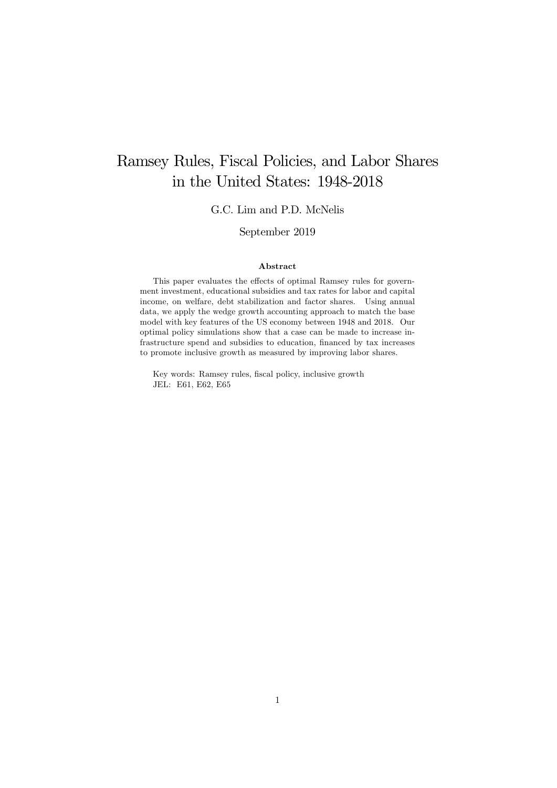# Ramsey Rules, Fiscal Policies, and Labor Shares in the United States: 1948-2018

G.C. Lim and P.D. McNelis

September 2019

#### Abstract

This paper evaluates the effects of optimal Ramsey rules for government investment, educational subsidies and tax rates for labor and capital income, on welfare, debt stabilization and factor shares. Using annual data, we apply the wedge growth accounting approach to match the base model with key features of the US economy between 1948 and 2018. Our optimal policy simulations show that a case can be made to increase infrastructure spend and subsidies to education, financed by tax increases to promote inclusive growth as measured by improving labor shares.

Key words: Ramsey rules, fiscal policy, inclusive growth JEL: E61, E62, E65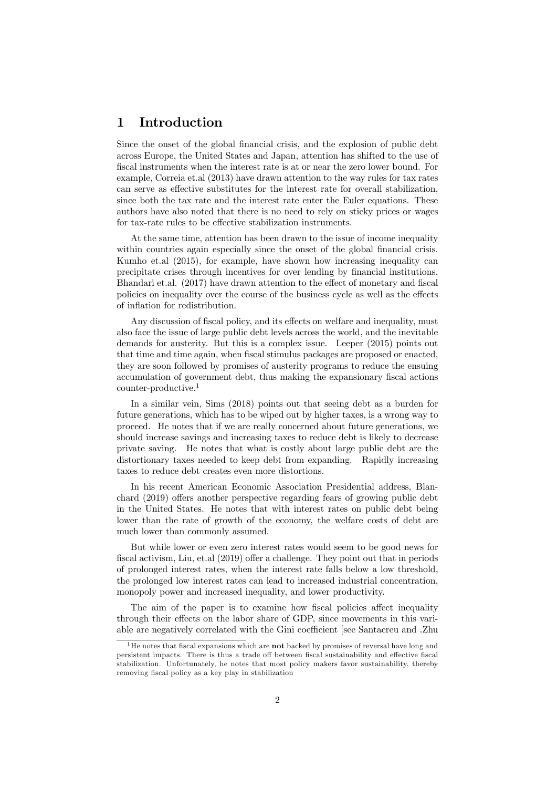## 1 Introduction

Since the onset of the global financial crisis, and the explosion of public debt across Europe, the United States and Japan, attention has shifted to the use of fiscal instruments when the interest rate is at or near the zero lower bound. For example, Correia et.al (2013) have drawn attention to the way rules for tax rates can serve as effective substitutes for the interest rate for overall stabilization, since both the tax rate and the interest rate enter the Euler equations. These authors have also noted that there is no need to rely on sticky prices or wages for tax-rate rules to be effective stabilization instruments.

At the same time, attention has been drawn to the issue of income inequality within countries again especially since the onset of the global financial crisis. Kumho et.al (2015), for example, have shown how increasing inequality can precipitate crises through incentives for over lending by financial institutions. Bhandari et.al. (2017) have drawn attention to the effect of monetary and fiscal policies on inequality over the course of the business cycle as well as the effects of inflation for redistribution.

Any discussion of fiscal policy, and its effects on welfare and inequality, must also face the issue of large public debt levels across the world, and the inevitable demands for austerity. But this is a complex issue. Leeper (2015) points out that time and time again, when fiscal stimulus packages are proposed or enacted, they are soon followed by promises of austerity programs to reduce the ensuing accumulation of government debt, thus making the expansionary fiscal actions counter-productive.1

In a similar vein, Sims (2018) points out that seeing debt as a burden for future generations, which has to be wiped out by higher taxes, is a wrong way to proceed. He notes that if we are really concerned about future generations, we should increase savings and increasing taxes to reduce debt is likely to decrease private saving. He notes that what is costly about large public debt are the distortionary taxes needed to keep debt from expanding. Rapidly increasing taxes to reduce debt creates even more distortions.

In his recent American Economic Association Presidential address, Blanchard (2019) offers another perspective regarding fears of growing public debt in the United States. He notes that with interest rates on public debt being lower than the rate of growth of the economy, the welfare costs of debt are much lower than commonly assumed.

But while lower or even zero interest rates would seem to be good news for fiscal activism, Liu, et.al (2019) offer a challenge. They point out that in periods of prolonged interest rates, when the interest rate falls below a low threshold, the prolonged low interest rates can lead to increased industrial concentration, monopoly power and increased inequality, and lower productivity.

The aim of the paper is to examine how fiscal policies affect inequality through their effects on the labor share of GDP, since movements in this variable are negatively correlated with the Gini coefficient [see Santacreu and .Zhu

 $1<sup>1</sup>$  He notes that fiscal expansions which are **not** backed by promises of reversal have long and persistent impacts. There is thus a trade off between fiscal sustainability and effective fiscal stabilization. Unfortunately, he notes that most policy makers favor sustainability, thereby removing fiscal policy as a key play in stabilization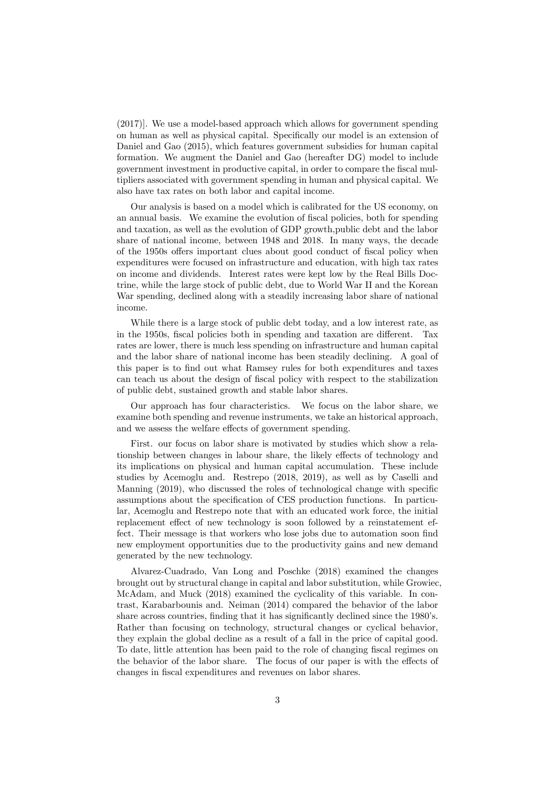(2017)]. We use a model-based approach which allows for government spending on human as well as physical capital. Specifically our model is an extension of Daniel and Gao (2015), which features government subsidies for human capital formation. We augment the Daniel and Gao (hereafter DG) model to include government investment in productive capital, in order to compare the fiscal multipliers associated with government spending in human and physical capital. We also have tax rates on both labor and capital income.

Our analysis is based on a model which is calibrated for the US economy, on an annual basis. We examine the evolution of fiscal policies, both for spending and taxation, as well as the evolution of GDP growth,public debt and the labor share of national income, between 1948 and 2018. In many ways, the decade of the 1950s offers important clues about good conduct of fiscal policy when expenditures were focused on infrastructure and education, with high tax rates on income and dividends. Interest rates were kept low by the Real Bills Doctrine, while the large stock of public debt, due to World War II and the Korean War spending, declined along with a steadily increasing labor share of national income.

While there is a large stock of public debt today, and a low interest rate, as in the 1950s, fiscal policies both in spending and taxation are different. Tax rates are lower, there is much less spending on infrastructure and human capital and the labor share of national income has been steadily declining. A goal of this paper is to find out what Ramsey rules for both expenditures and taxes can teach us about the design of fiscal policy with respect to the stabilization of public debt, sustained growth and stable labor shares.

Our approach has four characteristics. We focus on the labor share, we examine both spending and revenue instruments, we take an historical approach, and we assess the welfare effects of government spending.

First. our focus on labor share is motivated by studies which show a relationship between changes in labour share, the likely effects of technology and its implications on physical and human capital accumulation. These include studies by Acemoglu and. Restrepo (2018, 2019), as well as by Caselli and Manning (2019), who discussed the roles of technological change with specific assumptions about the specification of CES production functions. In particular, Acemoglu and Restrepo note that with an educated work force, the initial replacement effect of new technology is soon followed by a reinstatement effect. Their message is that workers who lose jobs due to automation soon find new employment opportunities due to the productivity gains and new demand generated by the new technology.

Alvarez-Cuadrado, Van Long and Poschke (2018) examined the changes brought out by structural change in capital and labor substitution, while Growiec, McAdam, and Muck (2018) examined the cyclicality of this variable. In contrast, Karabarbounis and. Neiman (2014) compared the behavior of the labor share across countries, finding that it has significantly declined since the 1980's. Rather than focusing on technology, structural changes or cyclical behavior, they explain the global decline as a result of a fall in the price of capital good. To date, little attention has been paid to the role of changing fiscal regimes on the behavior of the labor share. The focus of our paper is with the effects of changes in fiscal expenditures and revenues on labor shares.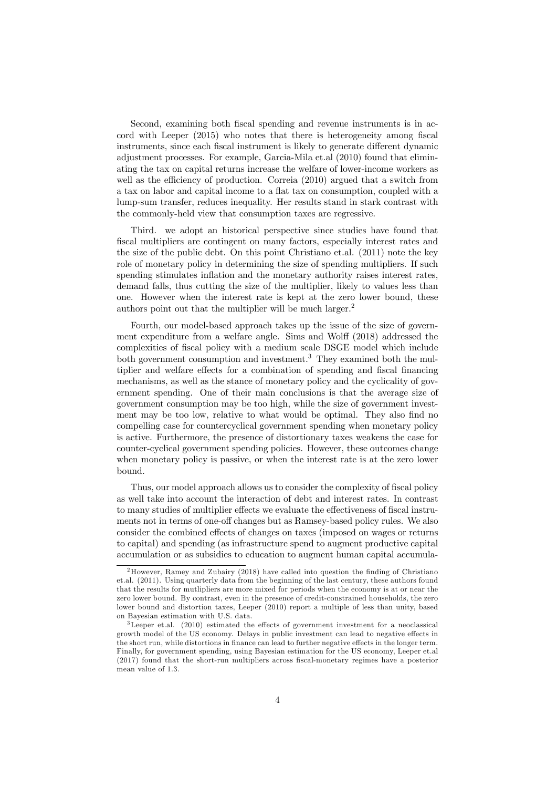Second, examining both fiscal spending and revenue instruments is in accord with Leeper (2015) who notes that there is heterogeneity among fiscal instruments, since each fiscal instrument is likely to generate different dynamic adjustment processes. For example, Garcia-Mila et.al (2010) found that eliminating the tax on capital returns increase the welfare of lower-income workers as well as the efficiency of production. Correia  $(2010)$  argued that a switch from a tax on labor and capital income to a flat tax on consumption, coupled with a lump-sum transfer, reduces inequality. Her results stand in stark contrast with the commonly-held view that consumption taxes are regressive.

Third. we adopt an historical perspective since studies have found that fiscal multipliers are contingent on many factors, especially interest rates and the size of the public debt. On this point Christiano et.al. (2011) note the key role of monetary policy in determining the size of spending multipliers. If such spending stimulates inflation and the monetary authority raises interest rates, demand falls, thus cutting the size of the multiplier, likely to values less than one. However when the interest rate is kept at the zero lower bound, these authors point out that the multiplier will be much larger.<sup>2</sup>

Fourth, our model-based approach takes up the issue of the size of government expenditure from a welfare angle. Sims and Wolff (2018) addressed the complexities of fiscal policy with a medium scale DSGE model which include both government consumption and investment.<sup>3</sup> They examined both the multiplier and welfare effects for a combination of spending and fiscal financing mechanisms, as well as the stance of monetary policy and the cyclicality of government spending. One of their main conclusions is that the average size of government consumption may be too high, while the size of government investment may be too low, relative to what would be optimal. They also find no compelling case for countercyclical government spending when monetary policy is active. Furthermore, the presence of distortionary taxes weakens the case for counter-cyclical government spending policies. However, these outcomes change when monetary policy is passive, or when the interest rate is at the zero lower bound.

Thus, our model approach allows us to consider the complexity of fiscal policy as well take into account the interaction of debt and interest rates. In contrast to many studies of multiplier effects we evaluate the effectiveness of fiscal instruments not in terms of one-off changes but as Ramsey-based policy rules. We also consider the combined effects of changes on taxes (imposed on wages or returns to capital) and spending (as infrastructure spend to augment productive capital accumulation or as subsidies to education to augment human capital accumula-

<sup>2</sup>However, Ramey and Zubairy (2018) have called into question the finding of Christiano et.al. (2011). Using quarterly data from the beginning of the last century, these authors found that the results for mutlipliers are more mixed for periods when the economy is at or near the zero lower bound. By contrast, even in the presence of credit-constrained households, the zero lower bound and distortion taxes, Leeper (2010) report a multiple of less than unity, based on Bayesian estimation with U.S. data.

<sup>3</sup>Leeper et.al. (2010) estimated the effects of government investment for a neoclassical growth model of the US economy. Delays in public investment can lead to negative effects in the short run, while distortions in finance can lead to further negative effects in the longer term. Finally, for government spending, using Bayesian estimation for the US economy, Leeper et.al (2017) found that the short-run multipliers across fiscal-monetary regimes have a posterior mean value of 1.3.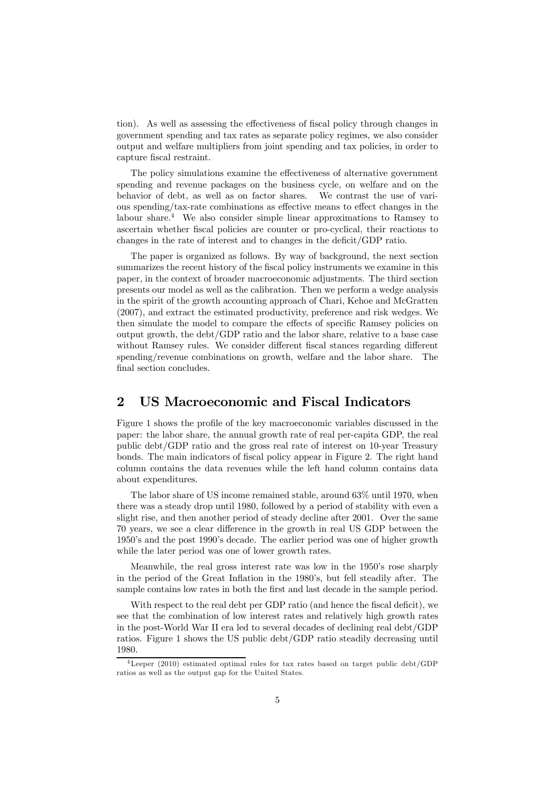tion). As well as assessing the effectiveness of fiscal policy through changes in government spending and tax rates as separate policy regimes, we also consider output and welfare multipliers from joint spending and tax policies, in order to capture fiscal restraint.

The policy simulations examine the effectiveness of alternative government spending and revenue packages on the business cycle, on welfare and on the behavior of debt, as well as on factor shares. We contrast the use of various spending/tax-rate combinations as effective means to effect changes in the labour share.<sup>4</sup> We also consider simple linear approximations to Ramsey to ascertain whether fiscal policies are counter or pro-cyclical, their reactions to changes in the rate of interest and to changes in the deficit/GDP ratio.

The paper is organized as follows. By way of background, the next section summarizes the recent history of the fiscal policy instruments we examine in this paper, in the context of broader macroeconomic adjustments. The third section presents our model as well as the calibration. Then we perform a wedge analysis in the spirit of the growth accounting approach of Chari, Kehoe and McGratten (2007), and extract the estimated productivity, preference and risk wedges. We then simulate the model to compare the effects of specific Ramsey policies on output growth, the debt/GDP ratio and the labor share, relative to a base case without Ramsey rules. We consider different fiscal stances regarding different spending/revenue combinations on growth, welfare and the labor share. The final section concludes.

### 2 US Macroeconomic and Fiscal Indicators

Figure 1 shows the profile of the key macroeconomic variables discussed in the paper: the labor share, the annual growth rate of real per-capita GDP, the real public debt/GDP ratio and the gross real rate of interest on 10-year Treasury bonds. The main indicators of fiscal policy appear in Figure 2. The right hand column contains the data revenues while the left hand column contains data about expenditures.

The labor share of US income remained stable, around 63% until 1970, when there was a steady drop until 1980, followed by a period of stability with even a slight rise, and then another period of steady decline after 2001. Over the same 70 years, we see a clear difference in the growth in real US GDP between the 1950's and the post 1990's decade. The earlier period was one of higher growth while the later period was one of lower growth rates.

Meanwhile, the real gross interest rate was low in the 1950's rose sharply in the period of the Great Inflation in the 1980's, but fell steadily after. The sample contains low rates in both the first and last decade in the sample period.

With respect to the real debt per GDP ratio (and hence the fiscal deficit), we see that the combination of low interest rates and relatively high growth rates in the post-World War II era led to several decades of declining real debt/GDP ratios. Figure 1 shows the US public debt/GDP ratio steadily decreasing until 1980.

<sup>4</sup>Leeper (2010) estimated optimal rules for tax rates based on target public debt/GDP ratios as well as the output gap for the United States.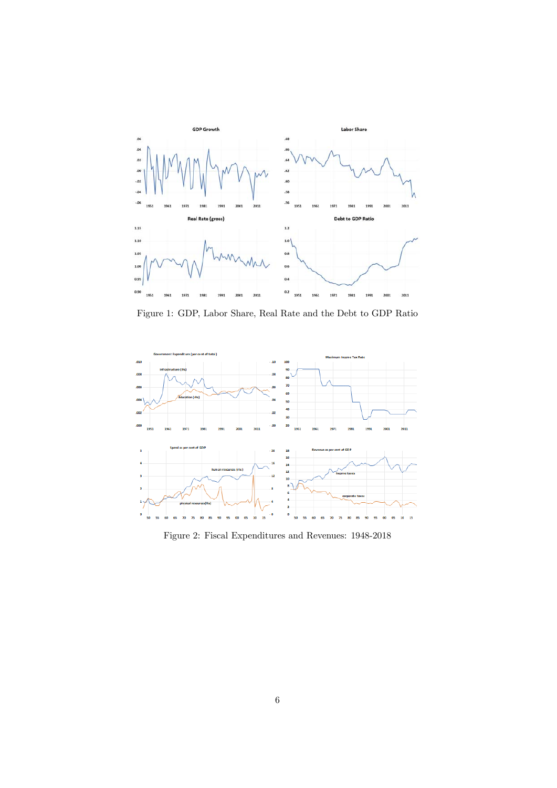

Figure 1: GDP, Labor Share, Real Rate and the Debt to GDP Ratio



Figure 2: Fiscal Expenditures and Revenues: 1948-2018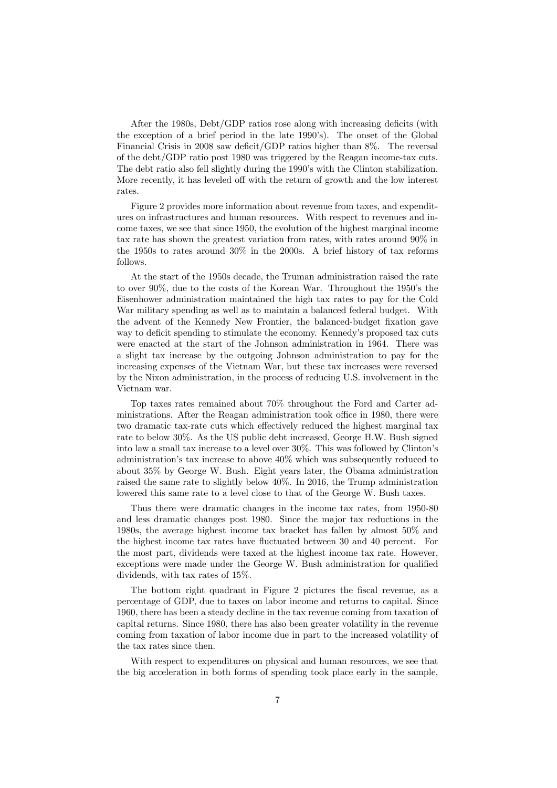After the 1980s, Debt/GDP ratios rose along with increasing deficits (with the exception of a brief period in the late 1990's). The onset of the Global Financial Crisis in 2008 saw deficit/GDP ratios higher than 8%. The reversal of the debt/GDP ratio post 1980 was triggered by the Reagan income-tax cuts. The debt ratio also fell slightly during the 1990's with the Clinton stabilization. More recently, it has leveled off with the return of growth and the low interest rates.

Figure 2 provides more information about revenue from taxes, and expenditures on infrastructures and human resources. With respect to revenues and income taxes, we see that since 1950, the evolution of the highest marginal income tax rate has shown the greatest variation from rates, with rates around 90% in the 1950s to rates around 30% in the 2000s. A brief history of tax reforms follows.

At the start of the 1950s decade, the Truman administration raised the rate to over 90%, due to the costs of the Korean War. Throughout the 1950's the Eisenhower administration maintained the high tax rates to pay for the Cold War military spending as well as to maintain a balanced federal budget. With the advent of the Kennedy New Frontier, the balanced-budget fixation gave way to deficit spending to stimulate the economy. Kennedy's proposed tax cuts were enacted at the start of the Johnson administration in 1964. There was a slight tax increase by the outgoing Johnson administration to pay for the increasing expenses of the Vietnam War, but these tax increases were reversed by the Nixon administration, in the process of reducing U.S. involvement in the Vietnam war.

Top taxes rates remained about 70% throughout the Ford and Carter administrations. After the Reagan administration took office in 1980, there were two dramatic tax-rate cuts which effectively reduced the highest marginal tax rate to below 30%. As the US public debt increased, George H.W. Bush signed into law a small tax increase to a level over 30%. This was followed by Clinton's administration's tax increase to above  $40\%$  which was subsequently reduced to about 35% by George W. Bush. Eight years later, the Obama administration raised the same rate to slightly below 40%. In 2016, the Trump administration lowered this same rate to a level close to that of the George W. Bush taxes.

Thus there were dramatic changes in the income tax rates, from 1950-80 and less dramatic changes post 1980. Since the major tax reductions in the 1980s, the average highest income tax bracket has fallen by almost 50% and the highest income tax rates have fluctuated between 30 and 40 percent. For the most part, dividends were taxed at the highest income tax rate. However, exceptions were made under the George W. Bush administration for qualified dividends, with tax rates of 15%.

The bottom right quadrant in Figure 2 pictures the fiscal revenue, as a percentage of GDP, due to taxes on labor income and returns to capital. Since 1960, there has been a steady decline in the tax revenue coming from taxation of capital returns. Since 1980, there has also been greater volatility in the revenue coming from taxation of labor income due in part to the increased volatility of the tax rates since then.

With respect to expenditures on physical and human resources, we see that the big acceleration in both forms of spending took place early in the sample,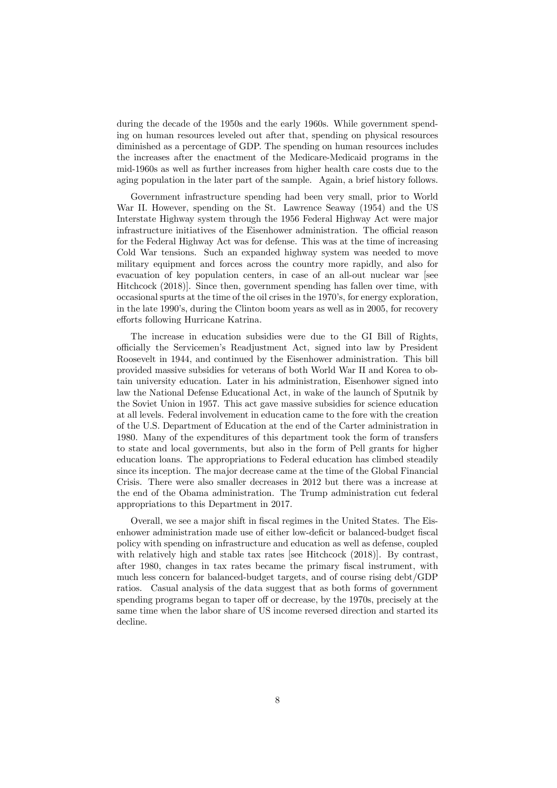during the decade of the 1950s and the early 1960s. While government spending on human resources leveled out after that, spending on physical resources diminished as a percentage of GDP. The spending on human resources includes the increases after the enactment of the Medicare-Medicaid programs in the mid-1960s as well as further increases from higher health care costs due to the aging population in the later part of the sample. Again, a brief history follows.

Government infrastructure spending had been very small, prior to World War II. However, spending on the St. Lawrence Seaway (1954) and the US Interstate Highway system through the 1956 Federal Highway Act were major infrastructure initiatives of the Eisenhower administration. The official reason for the Federal Highway Act was for defense. This was at the time of increasing Cold War tensions. Such an expanded highway system was needed to move military equipment and forces across the country more rapidly, and also for evacuation of key population centers, in case of an all-out nuclear war [see Hitchcock (2018)]. Since then, government spending has fallen over time, with occasional spurts at the time of the oil crises in the 1970's, for energy exploration, in the late 1990's, during the Clinton boom years as well as in 2005, for recovery efforts following Hurricane Katrina.

The increase in education subsidies were due to the GI Bill of Rights, officially the Servicemen's Readjustment Act, signed into law by President Roosevelt in 1944, and continued by the Eisenhower administration. This bill provided massive subsidies for veterans of both World War II and Korea to obtain university education. Later in his administration, Eisenhower signed into law the National Defense Educational Act, in wake of the launch of Sputnik by the Soviet Union in 1957. This act gave massive subsidies for science education at all levels. Federal involvement in education came to the fore with the creation of the U.S. Department of Education at the end of the Carter administration in 1980. Many of the expenditures of this department took the form of transfers to state and local governments, but also in the form of Pell grants for higher education loans. The appropriations to Federal education has climbed steadily since its inception. The major decrease came at the time of the Global Financial Crisis. There were also smaller decreases in 2012 but there was a increase at the end of the Obama administration. The Trump administration cut federal appropriations to this Department in 2017.

Overall, we see a major shift in fiscal regimes in the United States. The Eisenhower administration made use of either low-deficit or balanced-budget fiscal policy with spending on infrastructure and education as well as defense, coupled with relatively high and stable tax rates [see Hitchcock  $(2018)$ ]. By contrast, after 1980, changes in tax rates became the primary fiscal instrument, with much less concern for balanced-budget targets, and of course rising debt/GDP ratios. Casual analysis of the data suggest that as both forms of government spending programs began to taper off or decrease, by the 1970s, precisely at the same time when the labor share of US income reversed direction and started its decline.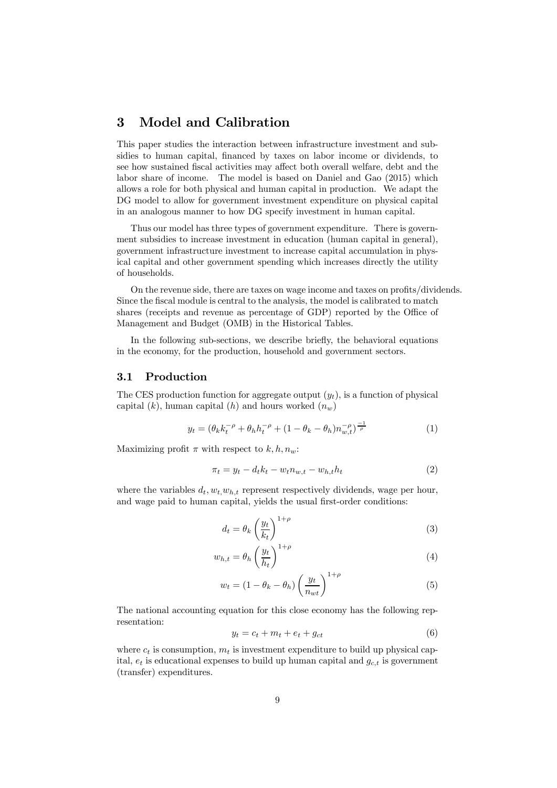## 3 Model and Calibration

This paper studies the interaction between infrastructure investment and subsidies to human capital, financed by taxes on labor income or dividends, to see how sustained fiscal activities may affect both overall welfare, debt and the labor share of income. The model is based on Daniel and Gao (2015) which allows a role for both physical and human capital in production. We adapt the DG model to allow for government investment expenditure on physical capital in an analogous manner to how DG specify investment in human capital.

Thus our model has three types of government expenditure. There is government subsidies to increase investment in education (human capital in general), government infrastructure investment to increase capital accumulation in physical capital and other government spending which increases directly the utility of households.

On the revenue side, there are taxes on wage income and taxes on profits/dividends. Since the fiscal module is central to the analysis, the model is calibrated to match shares (receipts and revenue as percentage of GDP) reported by the Office of Management and Budget (OMB) in the Historical Tables.

In the following sub-sections, we describe briefly, the behavioral equations in the economy, for the production, household and government sectors.

#### 3.1 Production

The CES production function for aggregate output  $(y_t)$ , is a function of physical capital  $(k)$ , human capital  $(h)$  and hours worked  $(n_w)$ 

$$
y_t = (\theta_k k_t^{-\rho} + \theta_h h_t^{-\rho} + (1 - \theta_k - \theta_h) n_{w,t}^{-\rho})^{\frac{-1}{\rho}}
$$
(1)

Maximizing profit  $\pi$  with respect to  $k, h, n_w$ :

$$
\pi_t = y_t - d_t k_t - w_t n_{w,t} - w_{h,t} h_t \tag{2}
$$

where the variables  $d_t, w_t, w_{h,t}$  represent respectively dividends, wage per hour, and wage paid to human capital, yields the usual first-order conditions:

$$
d_t = \theta_k \left(\frac{y_t}{k_t}\right)^{1+\rho} \tag{3}
$$

$$
w_{h,t} = \theta_h \left(\frac{y_t}{h_t}\right)^{1+\rho} \tag{4}
$$

$$
w_t = (1 - \theta_k - \theta_h) \left(\frac{y_t}{n_{wt}}\right)^{1+\rho} \tag{5}
$$

The national accounting equation for this close economy has the following representation:

$$
y_t = c_t + m_t + e_t + g_{ct} \tag{6}
$$

where  $c_t$  is consumption,  $m_t$  is investment expenditure to build up physical capital,  $e_t$  is educational expenses to build up human capital and  $g_{c,t}$  is government (transfer) expenditures.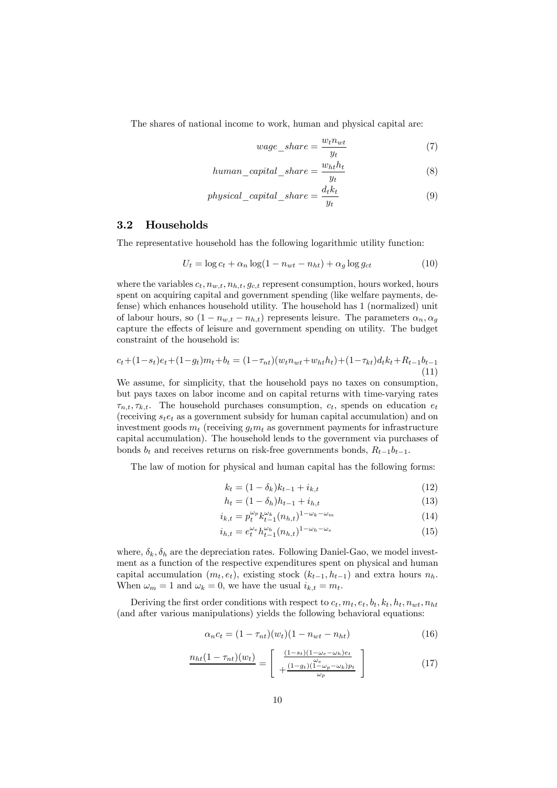The shares of national income to work, human and physical capital are:

$$
wage\_share = \frac{w_t n_{wt}}{y_t} \tag{7}
$$

$$
human\_capital\_share = \frac{w_{ht}h_t}{y_t}
$$
 (8)

$$
physical\_capital\_share = \frac{d_t k_t}{y_t} \tag{9}
$$

#### 3.2 Households

The representative household has the following logarithmic utility function:

$$
U_t = \log c_t + \alpha_n \log(1 - n_{wt} - n_{ht}) + \alpha_g \log g_{ct}
$$
\n(10)

where the variables  $c_t$ ,  $n_{w,t}$ ,  $n_{h,t}$ ,  $g_{c,t}$  represent consumption, hours worked, hours spent on acquiring capital and government spending (like welfare payments, defense) which enhances household utility. The household has 1 (normalized) unit of labour hours, so  $(1 - n_{w,t} - n_{h,t})$  represents leisure. The parameters  $\alpha_n, \alpha_q$ capture the effects of leisure and government spending on utility. The budget constraint of the household is:

$$
c_t + (1 - s_t)e_t + (1 - g_t)m_t + b_t = (1 - \tau_{nt})(w_t n_{wt} + w_{ht} h_t) + (1 - \tau_{kt})d_t k_t + R_{t-1} b_{t-1}
$$
\n(11)

We assume, for simplicity, that the household pays no taxes on consumption, but pays taxes on labor income and on capital returns with time-varying rates  $\tau_{n,t}, \tau_{k,t}$ . The household purchases consumption,  $c_t$ , spends on education  $e_t$ (receiving  $s_t e_t$  as a government subsidy for human capital accumulation) and on investment goods  $m_t$  (receiving  $g_t m_t$  as government payments for infrastructure capital accumulation). The household lends to the government via purchases of bonds  $b_t$  and receives returns on risk-free governments bonds,  $R_{t-1}b_{t-1}$ .

The law of motion for physical and human capital has the following forms:

$$
k_t = (1 - \delta_k)k_{t-1} + i_{k,t}
$$
\n(12)

$$
h_t = (1 - \delta_h)h_{t-1} + i_{h,t}
$$
\n(13)

$$
i_{k,t} = p_t^{\omega_p} k_{t-1}^{\omega_k} (n_{h,t})^{1-\omega_k-\omega_m} \tag{14}
$$

$$
i_{h,t} = e_t^{\omega_e} h_{t-1}^{\omega_h} (n_{h,t})^{1-\omega_h-\omega_e}
$$
\n(15)

where,  $\delta_k, \delta_h$  are the depreciation rates. Following Daniel-Gao, we model investment as a function of the respective expenditures spent on physical and human capital accumulation  $(m_t, e_t)$ , existing stock  $(k_{t-1}, h_{t-1})$  and extra hours  $n_h$ . When  $\omega_m = 1$  and  $\omega_k = 0$ , we have the usual  $i_{k,t} = m_t$ .

Deriving the first order conditions with respect to  $c_t, m_t, e_t, b_t, k_t, h_t, n_{wt}, n_{ht}$ (and after various manipulations) yields the following behavioral equations:

$$
\alpha_n c_t = (1 - \tau_{nt})(w_t)(1 - n_{wt} - n_{ht})
$$
\n(16)

$$
\frac{n_{ht}(1-\tau_{nt})(w_t)}{1+\frac{(1-g_t)(1-\omega_e-\omega_h)e_t}{\omega_e}} = \left[\begin{array}{c} \frac{(1-s_t)(1-\omega_e-\omega_h)e_t}{\omega_e} \\ +\frac{(1-g_t)(1-\omega_p-\omega_k)p_t}{\omega_p} \end{array}\right]
$$
(17)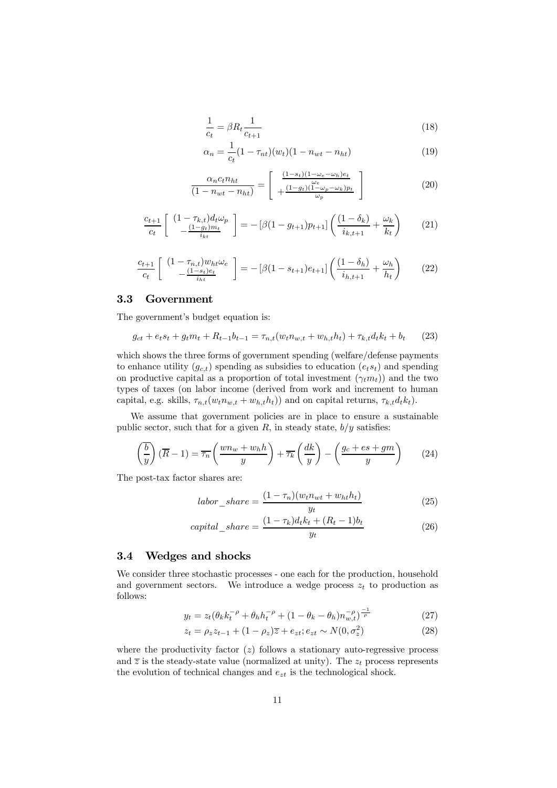$$
\frac{1}{c_t} = \beta R_t \frac{1}{c_{t+1}}\tag{18}
$$

$$
\alpha_n = \frac{1}{c_t} (1 - \tau_{nt})(w_t)(1 - n_{wt} - n_{ht})
$$
\n(19)

$$
\frac{\alpha_n c_t n_{ht}}{(1 - n_{wt} - n_{ht})} = \left[ \begin{array}{c} \frac{(1 - s_t)(1 - \omega_e - \omega_h)e_t}{\omega_e} \\ + \frac{(1 - g_t)(1 - \omega_p - \omega_k)p_t}{\omega_p} \end{array} \right] \tag{20}
$$

$$
\frac{c_{t+1}}{c_t} \left[ \begin{array}{c} (1 - \tau_{k,t}) d_t \omega_p \\ -\frac{(1 - g_t)m_t}{i_{kt}} \end{array} \right] = - \left[ \beta (1 - g_{t+1}) p_{t+1} \right] \left( \frac{(1 - \delta_k)}{i_{k,t+1}} + \frac{\omega_k}{k_t} \right) \tag{21}
$$

$$
\frac{c_{t+1}}{c_t} \left[ \begin{array}{c} (1 - \tau_{n,t}) w_{ht} \omega_e \\ - \frac{(1 - s_t)e_t}{i_{ht}} \end{array} \right] = - \left[ \beta (1 - s_{t+1}) e_{t+1} \right] \left( \frac{(1 - \delta_h)}{i_{h,t+1}} + \frac{\omega_h}{h_t} \right) \tag{22}
$$

#### 3.3 Government

The government's budget equation is:

$$
g_{ct} + e_t s_t + g_t m_t + R_{t-1} b_{t-1} = \tau_{n,t} (w_t n_{w,t} + w_{h,t} h_t) + \tau_{k,t} d_t k_t + b_t \tag{23}
$$

which shows the three forms of government spending (welfare/defense payments to enhance utility  $(g_{c,t})$  spending as subsidies to education  $(e_ts_t)$  and spending on productive capital as a proportion of total investment  $(\gamma_t m_t)$  and the two types of taxes (on labor income (derived from work and increment to human capital, e.g. skills,  $\tau_{n,t}(w_t n_{w,t} + w_{h,t} h_t)$  and on capital returns,  $\tau_{k,t} d_t k_t$ .

We assume that government policies are in place to ensure a sustainable public sector, such that for a given  $R$ , in steady state,  $b/y$  satisfies:

$$
\left(\frac{\overline{b}}{y}\right)\left(\overline{R}-1\right) = \overline{\tau_n}\left(\frac{wn_w + w_hh}{y}\right) + \overline{\tau_k}\left(\frac{dk}{y}\right) - \left(\frac{g_c + es + gm}{y}\right) \tag{24}
$$

The post-tax factor shares are:

$$
labor\_share = \frac{(1 - \tau_n)(w_t n_{wt} + w_{ht} h_t)}{y_t} \tag{25}
$$

$$
capital\_share = \frac{(1 - \tau_k)d_t k_t + (R_t - 1)b_t}{y_t}
$$
\n
$$
(26)
$$

#### 3.4 Wedges and shocks

We consider three stochastic processes - one each for the production, household and government sectors. We introduce a wedge process  $z_t$  to production as follows:

$$
y_t = z_t (\theta_k k_t^{-\rho} + \theta_h h_t^{-\rho} + (1 - \theta_k - \theta_h) n_{w,t}^{-\rho})^{\frac{-1}{\rho}}
$$
(27)

$$
z_t = \rho_z z_{t-1} + (1 - \rho_z)\overline{z} + e_{zt}; e_{zt} \sim N(0, \sigma_z^2)
$$
 (28)

where the productivity factor  $(z)$  follows a stationary auto-regressive process and  $\overline{z}$  is the steady-state value (normalized at unity). The  $z_t$  process represents the evolution of technical changes and  $e_{zt}$  is the technological shock.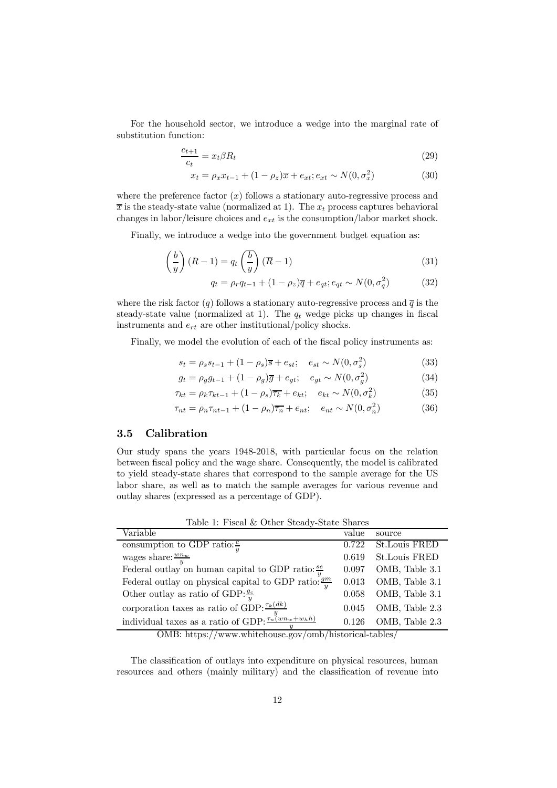For the household sector, we introduce a wedge into the marginal rate of substitution function:

$$
\frac{c_{t+1}}{c_t} = x_t \beta R_t \tag{29}
$$

$$
x_t = \rho_x x_{t-1} + (1 - \rho_z)\overline{x} + e_{xt}; e_{xt} \sim N(0, \sigma_x^2)
$$
\n(30)

where the preference factor  $(x)$  follows a stationary auto-regressive process and  $\overline{x}$  is the steady-state value (normalized at 1). The  $x_t$  process captures behavioral changes in labor/leisure choices and  $e_{xt}$  is the consumption/labor market shock.

Finally, we introduce a wedge into the government budget equation as:

$$
\left(\frac{b}{y}\right)(R-1) = q_t\left(\frac{b}{y}\right)(\overline{R}-1)
$$
\n(31)

$$
q_t = \rho_r q_{t-1} + (1 - \rho_z)\overline{q} + e_{qt}; e_{qt} \sim N(0, \sigma_q^2)
$$
 (32)

where the risk factor (q) follows a stationary auto-regressive process and  $\overline{q}$  is the steady-state value (normalized at 1). The  $q_t$  wedge picks up changes in fiscal instruments and  $e_{rt}$  are other institutional/policy shocks.

Finally, we model the evolution of each of the fiscal policy instruments as:

$$
s_t = \rho_s s_{t-1} + (1 - \rho_s)\overline{s} + e_{st}; \quad e_{st} \sim N(0, \sigma_s^2)
$$
 (33)

$$
g_t = \rho_g g_{t-1} + (1 - \rho_g) \overline{g} + e_{gt}; \quad e_{gt} \sim N(0, \sigma_g^2)
$$
 (34)

$$
\tau_{kt} = \rho_k \tau_{kt-1} + (1 - \rho_s) \overline{\tau_k} + e_{kt}; \quad e_{kt} \sim N(0, \sigma_k^2)
$$
\n(35)

$$
\tau_{nt} = \rho_n \tau_{nt-1} + (1 - \rho_n)\overline{\tau_n} + e_{nt}; \quad e_{nt} \sim N(0, \sigma_n^2)
$$
\n(36)

#### 3.5 Calibration

Our study spans the years 1948-2018, with particular focus on the relation between fiscal policy and the wage share. Consequently, the model is calibrated to yield steady-state shares that correspond to the sample average for the US labor share, as well as to match the sample averages for various revenue and outlay shares (expressed as a percentage of GDP).

| Variable                                                             | value | source               |
|----------------------------------------------------------------------|-------|----------------------|
| consumption to GDP ratio: $\frac{c}{u}$                              | 0.722 | St.Louis FRED        |
| wages share: $\frac{wn_w}{y}$                                        | 0.619 | <b>St.Louis FRED</b> |
| Federal outlay on human capital to GDP ratio: $\frac{se}{u}$         | 0.097 | OMB, Table 3.1       |
| Federal outlay on physical capital to GDP ratio: $\frac{gm}{u}$      | 0.013 | OMB, Table 3.1       |
| Other outlay as ratio of GDP: $\frac{g_c}{u}$                        | 0.058 | OMB, Table 3.1       |
| corporation taxes as ratio of GDP: $\frac{\tau_k(dk)}{d}$            | 0.045 | OMB, Table 2.3       |
| individual taxes as a ratio of GDP: $\frac{y}{\tau_n(wn_w + w_h h)}$ | 0.126 | OMB, Table 2.3       |
|                                                                      |       |                      |

Table 1: Fiscal & Other Steady-State Shares

OMB: https://www.whitehouse.gov/omb/historical-tables/

The classification of outlays into expenditure on physical resources, human resources and others (mainly military) and the classification of revenue into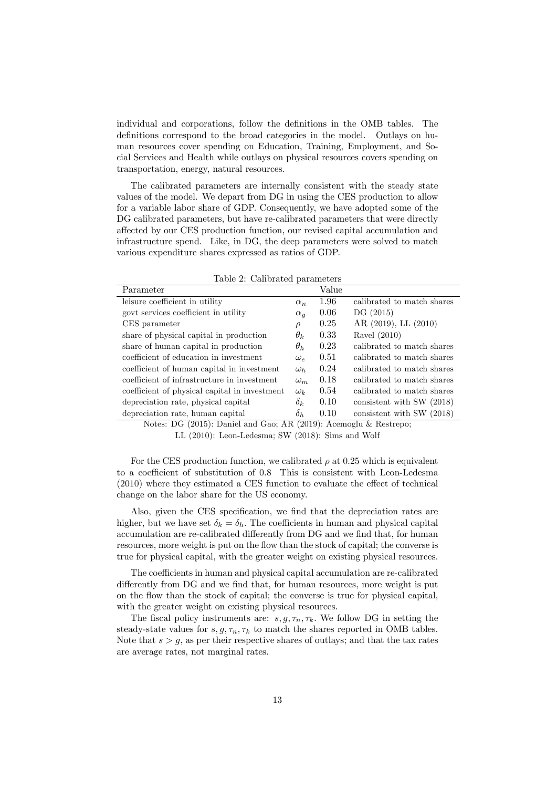individual and corporations, follow the definitions in the OMB tables. The definitions correspond to the broad categories in the model. Outlays on human resources cover spending on Education, Training, Employment, and Social Services and Health while outlays on physical resources covers spending on transportation, energy, natural resources.

The calibrated parameters are internally consistent with the steady state values of the model. We depart from DG in using the CES production to allow for a variable labor share of GDP. Consequently, we have adopted some of the DG calibrated parameters, but have re-calibrated parameters that were directly affected by our CES production function, our revised capital accumulation and infrastructure spend. Like, in DG, the deep parameters were solved to match various expenditure shares expressed as ratios of GDP.

| Table 2: Calibrated parameters |
|--------------------------------|
|--------------------------------|

| Value                                                                                      |
|--------------------------------------------------------------------------------------------|
| 1.96<br>calibrated to match shares                                                         |
| 0.06<br>DG(2015)                                                                           |
| 0.25<br>AR $(2019)$ , LL $(2010)$                                                          |
| 0.33<br>Ravel $(2010)$                                                                     |
| 0.23<br>calibrated to match shares                                                         |
| 0.51<br>calibrated to match shares                                                         |
| 0.24<br>calibrated to match shares                                                         |
| 0.18<br>calibrated to match shares<br>$\omega_m$                                           |
| 0.54<br>calibrated to match shares                                                         |
| 0.10<br>consistent with SW (2018)                                                          |
| 0.10<br>consistent with SW (2018)                                                          |
| $\alpha_n$<br>$\alpha_q$<br>$\omega_{\rho}$<br>$\omega_h$<br>$\omega_k$<br>$\delta_k$<br>. |

Notes: DG (2015): Daniel and Gao; AR (2019): Acemoglu & Restrepo; LL (2010): Leon-Ledesma; SW (2018): Sims and Wolf

For the CES production function, we calibrated  $\rho$  at 0.25 which is equivalent to a coefficient of substitution of 0.8 This is consistent with Leon-Ledesma (2010) where they estimated a CES function to evaluate the effect of technical change on the labor share for the US economy.

Also, given the CES specification, we find that the depreciation rates are higher, but we have set  $\delta_k = \delta_h$ . The coefficients in human and physical capital accumulation are re-calibrated differently from DG and we find that, for human resources, more weight is put on the flow than the stock of capital; the converse is true for physical capital, with the greater weight on existing physical resources.

The coefficients in human and physical capital accumulation are re-calibrated differently from DG and we find that, for human resources, more weight is put on the flow than the stock of capital; the converse is true for physical capital, with the greater weight on existing physical resources.

The fiscal policy instruments are:  $s, g, \tau_n, \tau_k$ . We follow DG in setting the steady-state values for  $s, g, \tau_n, \tau_k$  to match the shares reported in OMB tables. Note that  $s > q$ , as per their respective shares of outlays; and that the tax rates are average rates, not marginal rates.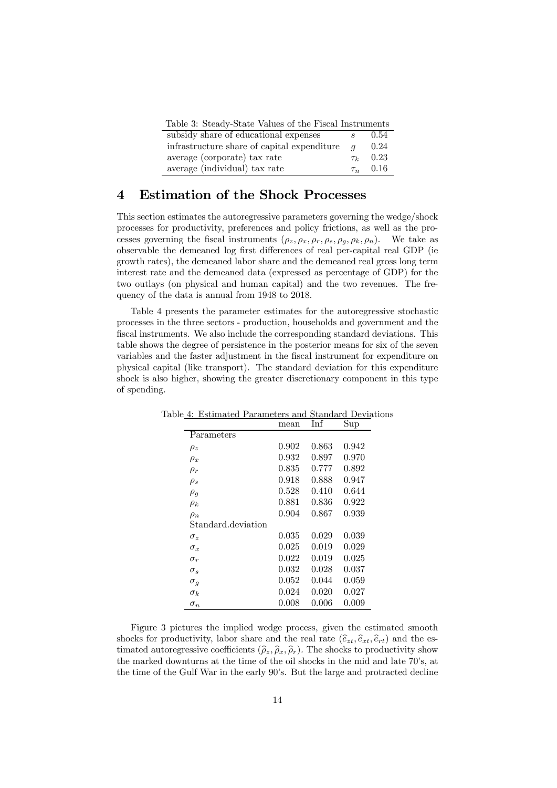| Table 3: Steady-State Values of the Fiscal Instruments |                |               |
|--------------------------------------------------------|----------------|---------------|
| subsidy share of educational expenses                  |                | 0.54          |
| infrastructure share of capital expenditure            | $\overline{a}$ | 0.24          |
| average (corporate) tax rate                           | $\tau_{k}$     | 0.23          |
| average (individual) tax rate                          |                | $\tau_n$ 0.16 |

# 4 Estimation of the Shock Processes

This section estimates the autoregressive parameters governing the wedge/shock processes for productivity, preferences and policy frictions, as well as the processes governing the fiscal instruments  $(\rho_z, \rho_x, \rho_r, \rho_s, \rho_g, \rho_k, \rho_n)$ . We take as observable the demeaned log first differences of real per-capital real GDP (ie growth rates), the demeaned labor share and the demeaned real gross long term interest rate and the demeaned data (expressed as percentage of GDP) for the two outlays (on physical and human capital) and the two revenues. The frequency of the data is annual from 1948 to 2018.

Table 4 presents the parameter estimates for the autoregressive stochastic processes in the three sectors - production, households and government and the fiscal instruments. We also include the corresponding standard deviations. This table shows the degree of persistence in the posterior means for six of the seven variables and the faster adjustment in the fiscal instrument for expenditure on physical capital (like transport). The standard deviation for this expenditure shock is also higher, showing the greater discretionary component in this type of spending.

|                    | mean        | Inf   | Sup   |
|--------------------|-------------|-------|-------|
| Parameters         |             |       |       |
| $\rho_z$           | 0.902       | 0.863 | 0.942 |
| $\rho_x$           | 0.932       | 0.897 | 0.970 |
| $\rho_r$           | $\;\:0.835$ | 0.777 | 0.892 |
| $\rho_s$           | 0.918       | 0.888 | 0.947 |
| $\rho_g$           | 0.528       | 0.410 | 0.644 |
| $\rho_k$           | 0.881       | 0.836 | 0.922 |
| $\rho_n$           | 0.904       | 0.867 | 0.939 |
| Standard.deviation |             |       |       |
| $\sigma_z$         | 0.035       | 0.029 | 0.039 |
| $\sigma_x$         | 0.025       | 0.019 | 0.029 |
| $\sigma_r$         | 0.022       | 0.019 | 0.025 |
| $\sigma_s$         | ${0.032}$   | 0.028 | 0.037 |
| $\sigma_g$         | 0.052       | 0.044 | 0.059 |
| $\sigma_k$         | 0.024       | 0.020 | 0.027 |
| $\sigma_n$         | 0.008       | 0.006 | 0.009 |

Table 4: Estimated Parameters and Standard Deviations

Figure 3 pictures the implied wedge process, given the estimated smooth shocks for productivity, labor share and the real rate  $(\hat{e}_{zt}, \hat{e}_{xt}, \hat{e}_{rt})$  and the estimated autoregressive coefficients  $(\hat{\rho}_z, \hat{\rho}_x, \hat{\rho}_r)$ . The shocks to productivity show the marked downturns at the time of the oil shocks in the mid and late 70's, at the time of the Gulf War in the early 90's. But the large and protracted decline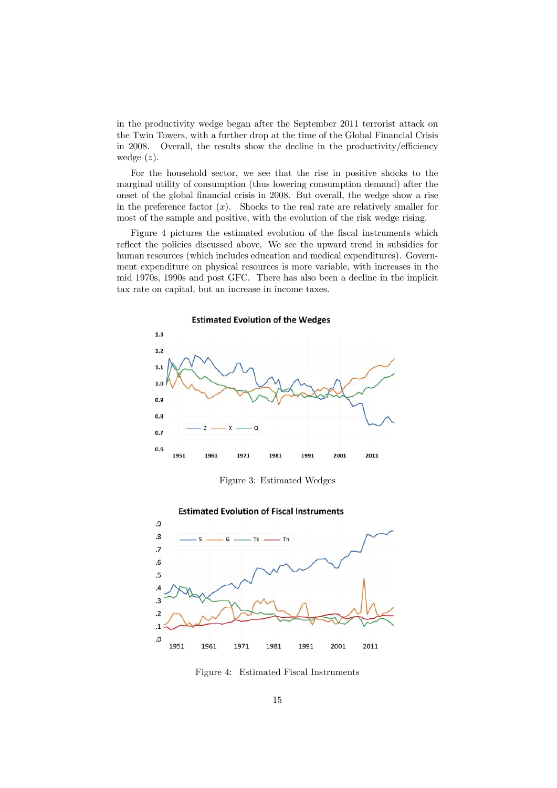in the productivity wedge began after the September 2011 terrorist attack on the Twin Towers, with a further drop at the time of the Global Financial Crisis in 2008. Overall, the results show the decline in the productivity/efficiency wedge  $(z)$ .

For the household sector, we see that the rise in positive shocks to the marginal utility of consumption (thus lowering consumption demand) after the onset of the global financial crisis in 2008. But overall, the wedge show a rise in the preference factor  $(x)$ . Shocks to the real rate are relatively smaller for most of the sample and positive, with the evolution of the risk wedge rising.

Figure 4 pictures the estimated evolution of the fiscal instruments which reflect the policies discussed above. We see the upward trend in subsidies for human resources (which includes education and medical expenditures). Government expenditure on physical resources is more variable, with increases in the mid 1970s, 1990s and post GFC. There has also been a decline in the implicit tax rate on capital, but an increase in income taxes.



Figure 3: Estimated Wedges



**Estimated Evolution of Fiscal Instruments** 

Figure 4: Estimated Fiscal Instruments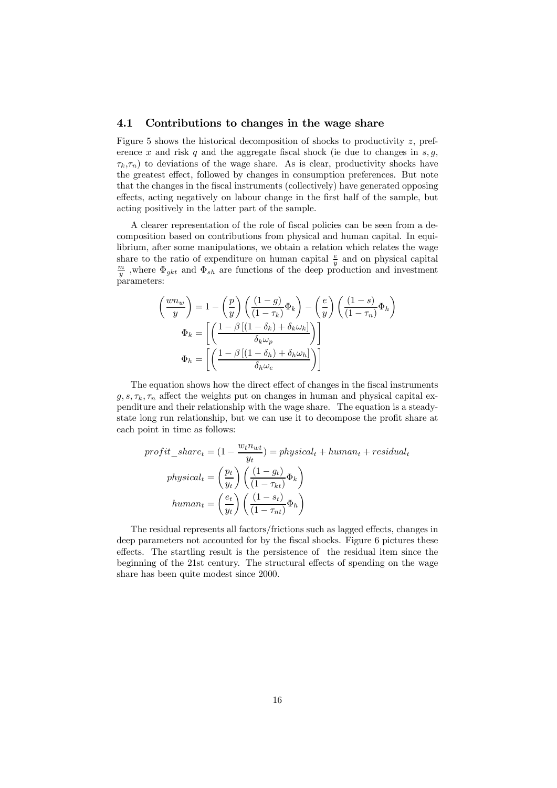#### 4.1 Contributions to changes in the wage share

Figure 5 shows the historical decomposition of shocks to productivity  $z$ , preference x and risk q and the aggregate fiscal shock (ie due to changes in  $s, g$ ,  $\tau_k,\tau_n$ ) to deviations of the wage share. As is clear, productivity shocks have the greatest effect, followed by changes in consumption preferences. But note that the changes in the fiscal instruments (collectively) have generated opposing effects, acting negatively on labour change in the first half of the sample, but acting positively in the latter part of the sample.

A clearer representation of the role of fiscal policies can be seen from a decomposition based on contributions from physical and human capital. In equilibrium, after some manipulations, we obtain a relation which relates the wage share to the ratio of expenditure on human capital  $\frac{e}{y}$  and on physical capital  $\frac{m}{y}$  where  $\Phi_{\lambda}$  and  $\Phi_{\lambda}$  are functions of the doop production and investment  $\frac{m}{y}$ , where  $\Phi_{gkt}$  and  $\Phi_{sh}$  are functions of the deep production and investment parameters:

$$
\begin{aligned}\n\left(\frac{wn_w}{y}\right) &= 1 - \left(\frac{p}{y}\right) \left(\frac{(1-g)}{(1-\tau_k)}\Phi_k\right) - \left(\frac{e}{y}\right) \left(\frac{(1-s)}{(1-\tau_n)}\Phi_h\right) \\
\Phi_k &= \left[\left(\frac{1-\beta\left[(1-\delta_k)+\delta_k\omega_k\right]}{\delta_k\omega_p}\right)\right] \\
\Phi_h &= \left[\left(\frac{1-\beta\left[(1-\delta_h)+\delta_h\omega_h\right]}{\delta_h\omega_e}\right)\right]\n\end{aligned}
$$

The equation shows how the direct effect of changes in the fiscal instruments  $q, s, \tau_k, \tau_n$  affect the weights put on changes in human and physical capital expenditure and their relationship with the wage share. The equation is a steadystate long run relationship, but we can use it to decompose the profit share at each point in time as follows:

$$
profit\_share_t = (1 - \frac{w_t n_{wt}}{y_t}) = physical_t + human_t + residual_t
$$

$$
physical_t = \left(\frac{p_t}{y_t}\right) \left(\frac{(1 - g_t)}{(1 - \tau_{kt})} \Phi_k\right)
$$

$$
human_t = \left(\frac{e_t}{y_t}\right) \left(\frac{(1 - s_t)}{(1 - \tau_{nt})} \Phi_h\right)
$$

The residual represents all factors/frictions such as lagged effects, changes in deep parameters not accounted for by the fiscal shocks. Figure 6 pictures these effects. The startling result is the persistence of the residual item since the beginning of the 21st century. The structural effects of spending on the wage share has been quite modest since 2000.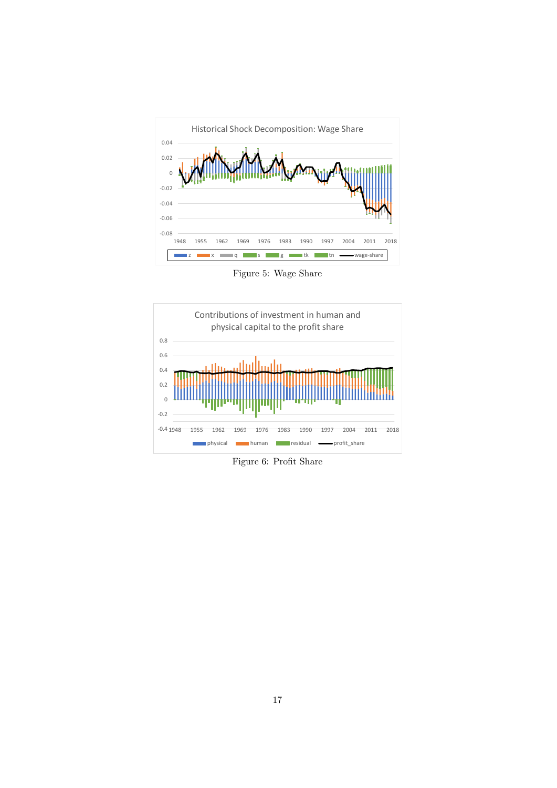

Figure 5: Wage Share



Figure 6: Profit Share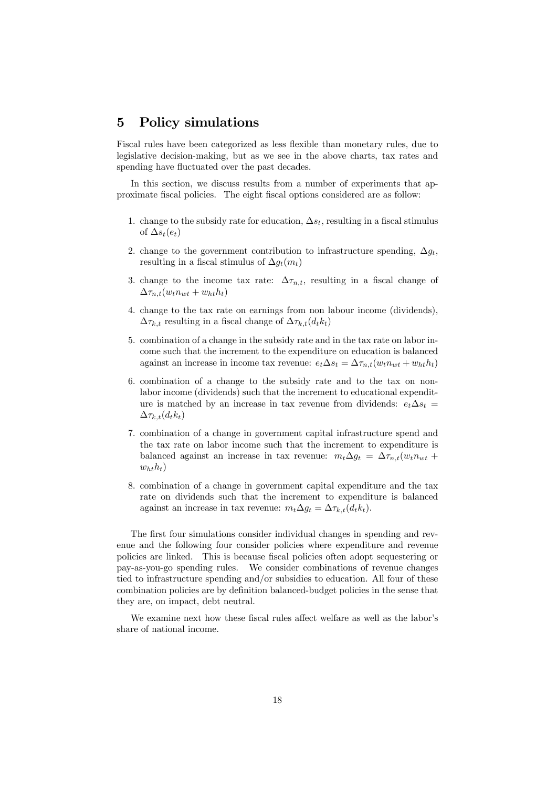### 5 Policy simulations

Fiscal rules have been categorized as less flexible than monetary rules, due to legislative decision-making, but as we see in the above charts, tax rates and spending have fluctuated over the past decades.

In this section, we discuss results from a number of experiments that approximate fiscal policies. The eight fiscal options considered are as follow:

- 1. change to the subsidy rate for education,  $\Delta s_t$ , resulting in a fiscal stimulus of  $\Delta s_t(e_t)$
- 2. change to the government contribution to infrastructure spending,  $\Delta g_t$ , resulting in a fiscal stimulus of  $\Delta q_t(m_t)$
- 3. change to the income tax rate:  $\Delta \tau_{n,t}$ , resulting in a fiscal change of  $\Delta \tau_{n.t}(w_t n_{wt} + w_{ht} h_t)$
- 4. change to the tax rate on earnings from non labour income (dividends),  $\Delta \tau_{k,t}$  resulting in a fiscal change of  $\Delta \tau_{k,t}(d_t k_t)$
- 5. combination of a change in the subsidy rate and in the tax rate on labor income such that the increment to the expenditure on education is balanced against an increase in income tax revenue:  $e_t \Delta s_t = \Delta \tau_{n,t}(w_t n_{wt} + w_{ht} h_t)$
- 6. combination of a change to the subsidy rate and to the tax on nonlabor income (dividends) such that the increment to educational expenditure is matched by an increase in tax revenue from dividends:  $e_t \Delta s_t =$  $\Delta \tau_{k,t}(d_t k_t)$
- 7. combination of a change in government capital infrastructure spend and the tax rate on labor income such that the increment to expenditure is balanced against an increase in tax revenue:  $m_t \Delta q_t = \Delta \tau_{n,t}(w_t n_{wt} +$  $w_{ht}h_t)$
- 8. combination of a change in government capital expenditure and the tax rate on dividends such that the increment to expenditure is balanced against an increase in tax revenue:  $m_t \Delta q_t = \Delta \tau_{k,t}(d_t k_t)$ .

The first four simulations consider individual changes in spending and revenue and the following four consider policies where expenditure and revenue policies are linked. This is because fiscal policies often adopt sequestering or pay-as-you-go spending rules. We consider combinations of revenue changes tied to infrastructure spending and/or subsidies to education. All four of these combination policies are by definition balanced-budget policies in the sense that they are, on impact, debt neutral.

We examine next how these fiscal rules affect welfare as well as the labor's share of national income.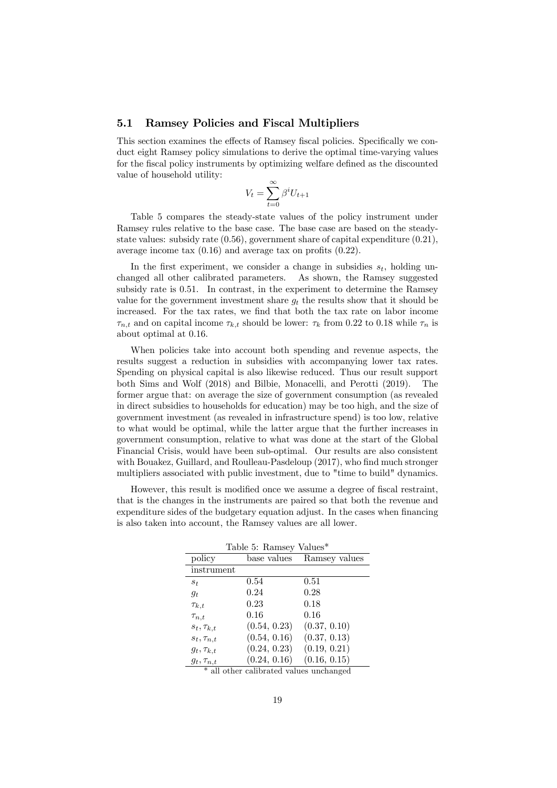#### 5.1 Ramsey Policies and Fiscal Multipliers

This section examines the effects of Ramsey fiscal policies. Specifically we conduct eight Ramsey policy simulations to derive the optimal time-varying values for the fiscal policy instruments by optimizing welfare defined as the discounted value of household utility:

$$
V_t = \sum_{t=0}^{\infty} \beta^i U_{t+1}
$$

Table 5 compares the steady-state values of the policy instrument under Ramsey rules relative to the base case. The base case are based on the steadystate values: subsidy rate  $(0.56)$ , government share of capital expenditure  $(0.21)$ , average income tax (0.16) and average tax on profits (0.22).

In the first experiment, we consider a change in subsidies  $s_t$ , holding unchanged all other calibrated parameters. As shown, the Ramsey suggested subsidy rate is 0.51. In contrast, in the experiment to determine the Ramsey value for the government investment share  $g_t$  the results show that it should be increased. For the tax rates, we find that both the tax rate on labor income  $\tau_{n,t}$  and on capital income  $\tau_{k,t}$  should be lower:  $\tau_k$  from 0.22 to 0.18 while  $\tau_n$  is about optimal at 0.16.

When policies take into account both spending and revenue aspects, the results suggest a reduction in subsidies with accompanying lower tax rates. Spending on physical capital is also likewise reduced. Thus our result support both Sims and Wolf (2018) and Bilbie, Monacelli, and Perotti (2019). The former argue that: on average the size of government consumption (as revealed in direct subsidies to households for education) may be too high, and the size of government investment (as revealed in infrastructure spend) is too low, relative to what would be optimal, while the latter argue that the further increases in government consumption, relative to what was done at the start of the Global Financial Crisis, would have been sub-optimal. Our results are also consistent with Bouakez, Guillard, and Roulleau-Pasdeloup (2017), who find much stronger multipliers associated with public investment, due to "time to build" dynamics.

However, this result is modified once we assume a degree of fiscal restraint, that is the changes in the instruments are paired so that both the revenue and expenditure sides of the budgetary equation adjust. In the cases when financing is also taken into account, the Ramsey values are all lower.

|                   | Table 5: Ramsey Values* |               |
|-------------------|-------------------------|---------------|
| policy            | base values             | Ramsey values |
| instrument        |                         |               |
| $s_t$             | 0.54                    | 0.51          |
| $g_t$             | 0.24                    | 0.28          |
| $\tau_{k,t}$      | 0.23                    | 0.18          |
| $\tau_{n,t}$      | 0.16                    | 0.16          |
| $s_t, \tau_{k,t}$ | (0.54, 0.23)            | (0.37, 0.10)  |
| $s_t, \tau_{n,t}$ | (0.54, 0.16)            | (0.37, 0.13)  |
| $g_t, \tau_{k,t}$ | (0.24, 0.23)            | (0.19, 0.21)  |
| $g_t, \tau_{n,t}$ | (0.24, 0.16)            | (0.16, 0.15)  |

\* all other calibrated values unchanged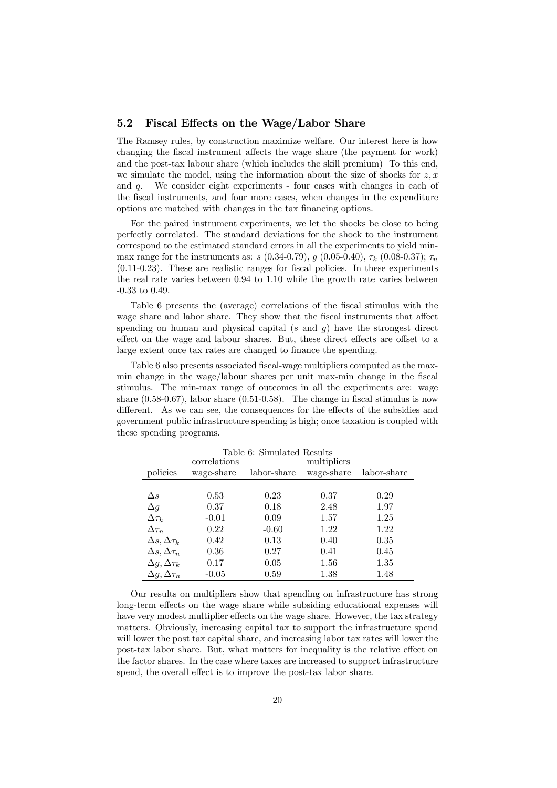#### 5.2 Fiscal Effects on the Wage/Labor Share

The Ramsey rules, by construction maximize welfare. Our interest here is how changing the fiscal instrument affects the wage share (the payment for work) and the post-tax labour share (which includes the skill premium) To this end, we simulate the model, using the information about the size of shocks for  $z, x$ and  $q$ . We consider eight experiments - four cases with changes in each of the fiscal instruments, and four more cases, when changes in the expenditure options are matched with changes in the tax financing options.

For the paired instrument experiments, we let the shocks be close to being perfectly correlated. The standard deviations for the shock to the instrument correspond to the estimated standard errors in all the experiments to yield minmax range for the instruments as:  $s(0.34{\text -}0.79), g(0.05{\text -}0.40), \tau_k(0.08{\text -}0.37); \tau_n$ (0.11-0.23). These are realistic ranges for fiscal policies. In these experiments the real rate varies between 0.94 to 1.10 while the growth rate varies between -0.33 to 0.49.

Table 6 presents the (average) correlations of the fiscal stimulus with the wage share and labor share. They show that the fiscal instruments that affect spending on human and physical capital  $(s \text{ and } q)$  have the strongest direct effect on the wage and labour shares. But, these direct effects are offset to a large extent once tax rates are changed to finance the spending.

Table 6 also presents associated fiscal-wage multipliers computed as the maxmin change in the wage/labour shares per unit max-min change in the fiscal stimulus. The min-max range of outcomes in all the experiments are: wage share  $(0.58-0.67)$ , labor share  $(0.51-0.58)$ . The change in fiscal stimulus is now different. As we can see, the consequences for the effects of the subsidies and government public infrastructure spending is high; once taxation is coupled with these spending programs.

|                           |              | Table 6: Simulated Results |             |             |
|---------------------------|--------------|----------------------------|-------------|-------------|
|                           | correlations |                            | multipliers |             |
| policies                  | wage-share   | labor-share                | wage-share  | labor-share |
|                           |              |                            |             |             |
| $\Delta s$                | 0.53         | 0.23                       | 0.37        | 0.29        |
| $\Delta q$                | 0.37         | 0.18                       | 2.48        | 1.97        |
| $\Delta \tau_k$           | $-0.01$      | 0.09                       | 1.57        | 1.25        |
| $\Delta \tau_n$           | 0.22         | $-0.60$                    | 1.22        | 1.22        |
| $\Delta s, \Delta \tau_k$ | 0.42         | 0.13                       | 0.40        | 0.35        |
| $\Delta s, \Delta \tau_n$ | 0.36         | 0.27                       | 0.41        | 0.45        |
| $\Delta q, \Delta \tau_k$ | 0.17         | 0.05                       | 1.56        | 1.35        |
| $\Delta q, \Delta \tau_n$ | $-0.05$      | 0.59                       | 1.38        | 1.48        |

Our results on multipliers show that spending on infrastructure has strong long-term effects on the wage share while subsiding educational expenses will have very modest multiplier effects on the wage share. However, the tax strategy matters. Obviously, increasing capital tax to support the infrastructure spend will lower the post tax capital share, and increasing labor tax rates will lower the post-tax labor share. But, what matters for inequality is the relative effect on the factor shares. In the case where taxes are increased to support infrastructure spend, the overall effect is to improve the post-tax labor share.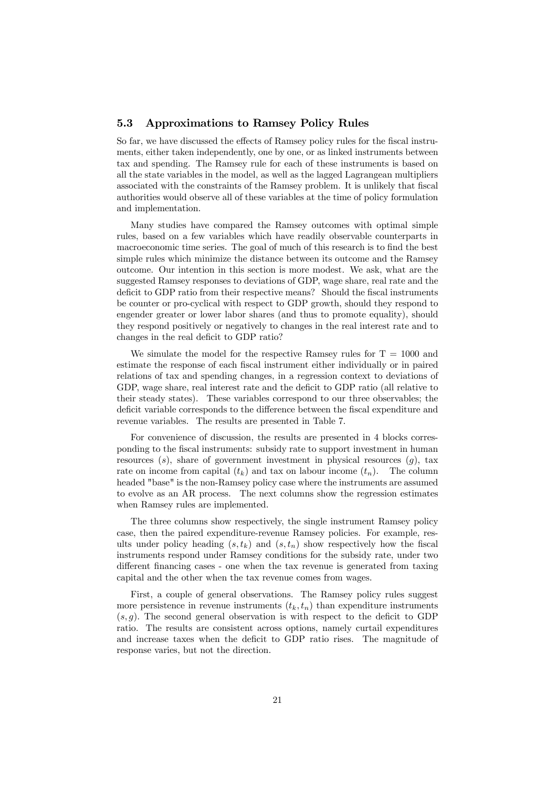#### 5.3 Approximations to Ramsey Policy Rules

So far, we have discussed the effects of Ramsey policy rules for the fiscal instruments, either taken independently, one by one, or as linked instruments between tax and spending. The Ramsey rule for each of these instruments is based on all the state variables in the model, as well as the lagged Lagrangean multipliers associated with the constraints of the Ramsey problem. It is unlikely that fiscal authorities would observe all of these variables at the time of policy formulation and implementation.

Many studies have compared the Ramsey outcomes with optimal simple rules, based on a few variables which have readily observable counterparts in macroeconomic time series. The goal of much of this research is to find the best simple rules which minimize the distance between its outcome and the Ramsey outcome. Our intention in this section is more modest. We ask, what are the suggested Ramsey responses to deviations of GDP, wage share, real rate and the deficit to GDP ratio from their respective means? Should the fiscal instruments be counter or pro-cyclical with respect to GDP growth, should they respond to engender greater or lower labor shares (and thus to promote equality), should they respond positively or negatively to changes in the real interest rate and to changes in the real deficit to GDP ratio?

We simulate the model for the respective Ramsey rules for  $T = 1000$  and estimate the response of each fiscal instrument either individually or in paired relations of tax and spending changes, in a regression context to deviations of GDP, wage share, real interest rate and the deficit to GDP ratio (all relative to their steady states). These variables correspond to our three observables; the deficit variable corresponds to the difference between the fiscal expenditure and revenue variables. The results are presented in Table 7.

For convenience of discussion, the results are presented in 4 blocks corresponding to the fiscal instruments: subsidy rate to support investment in human resources  $(s)$ , share of government investment in physical resources  $(g)$ , tax rate on income from capital  $(t_k)$  and tax on labour income  $(t_n)$ . The column headed "base" is the non-Ramsey policy case where the instruments are assumed to evolve as an AR process. The next columns show the regression estimates when Ramsey rules are implemented.

The three columns show respectively, the single instrument Ramsey policy case, then the paired expenditure-revenue Ramsey policies. For example, results under policy heading  $(s, t_k)$  and  $(s, t_n)$  show respectively how the fiscal instruments respond under Ramsey conditions for the subsidy rate, under two different financing cases - one when the tax revenue is generated from taxing capital and the other when the tax revenue comes from wages.

First, a couple of general observations. The Ramsey policy rules suggest more persistence in revenue instruments  $(t_k, t_n)$  than expenditure instruments  $(s, g)$ . The second general observation is with respect to the deficit to GDP ratio. The results are consistent across options, namely curtail expenditures and increase taxes when the deficit to GDP ratio rises. The magnitude of response varies, but not the direction.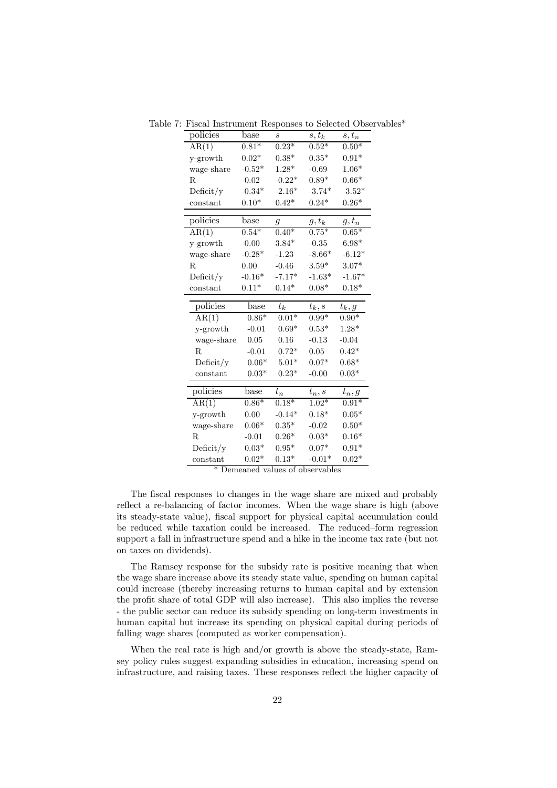| policies              | base               | S                  | $s,t_k$             | $s,t_n$            |
|-----------------------|--------------------|--------------------|---------------------|--------------------|
| AR(1)                 | $0.81*$            | $0.23*$            | $0.52*$             | $0.50*$            |
| y-growth              | $0.02*$            | $0.38*$            | $0.35*$             | $0.91*$            |
| wage-share            | $-0.52*$           | $1.28*$            | $-0.69$             | $1.06*$            |
| $_{\rm R}$            | $-0.02$            | $-0.22*$           | $0.89*$             | $0.66*$            |
| Deficit/y             | $-0.34*$           | $-2.16*$           | $-3.74*$            | $-3.52*$           |
| constant              | $0.10*$            | $0.42*$            | $0.24*$             | $0.26*$            |
|                       |                    |                    |                     |                    |
| policies              | $_{\text{base}}$   | g                  | $\underline{g,t_k}$ | $g, t_n$           |
| AR(1)                 | $0.54*$            | $0.40*$            | $0.75*$             | $0.65*$            |
| y-growth              | $-0.00$            | $3.84*$            | $-0.35$             | $6.98*$            |
| wage-share            | $-0.28*$           | $-1.23$            | $-8.66*$            | $-6.12*$           |
| R                     | 0.00               | $-0.46$            | $3.59*$             | $3.07*$            |
| Deficit/y             | $-0.16*$           | $-7.17*$           | $-1.63*$            | $-1.67*$           |
| constant              | $0.11*$            | $0.14*$            | $0.08*$             | $0.18*$            |
|                       |                    |                    |                     |                    |
| policies              | base               | $t_k$              | $t_k,s$             | $t_k, g$           |
| AR(1)                 | $0.86*$            | $0.01*$            | $0.99*$             | $0.90*$            |
|                       |                    | $0.69*$            | $0.53*$             | $1.28*$            |
| y-growth              | $-0.01$            |                    |                     |                    |
| wage-share            | 0.05               | 0.16               | $-0.13$             | $-0.04$            |
| R                     | $-0.01$            | $0.72*$            | 0.05                | $0.42*$            |
| Deficit/y             | $0.06*$            | $5.01*$            | $0.07*$             | $0.68*$            |
| constant              | $0.03*$            | $0.23*$            | $-0.00$             | $0.03*$            |
|                       |                    |                    |                     |                    |
| policies              | base               | $t_n$              | $t_n,s$             | $t_n, g$           |
| AR(1)                 | $0.86*$            | $0.18*$            | $1.02*$             | $0.91*$            |
| y-growth              | 0.00               | $-0.14*$           | $0.18*$             | $0.05^{\ast}$      |
| wage-share            | $0.06*$            | $0.35^{\ast}$      | $-0.02$             | $0.50*$            |
| $_{\rm R}$            | $-0.01$            | $0.26*$            | $0.03*$             | $0.16*$            |
| Deficit/y<br>constant | $0.03*$<br>$0.02*$ | $0.95*$<br>$0.13*$ | $0.07*$<br>$-0.01*$ | $0.91*$<br>$0.02*$ |

Table 7: Fiscal Instrument Responses to Selected Observables\*

\* Demeaned values of observables

The fiscal responses to changes in the wage share are mixed and probably reflect a re-balancing of factor incomes. When the wage share is high (above its steady-state value), fiscal support for physical capital accumulation could be reduced while taxation could be increased. The reduced—form regression support a fall in infrastructure spend and a hike in the income tax rate (but not on taxes on dividends).

The Ramsey response for the subsidy rate is positive meaning that when the wage share increase above its steady state value, spending on human capital could increase (thereby increasing returns to human capital and by extension the profit share of total GDP will also increase). This also implies the reverse - the public sector can reduce its subsidy spending on long-term investments in human capital but increase its spending on physical capital during periods of falling wage shares (computed as worker compensation).

When the real rate is high and/or growth is above the steady-state, Ramsey policy rules suggest expanding subsidies in education, increasing spend on infrastructure, and raising taxes. These responses reflect the higher capacity of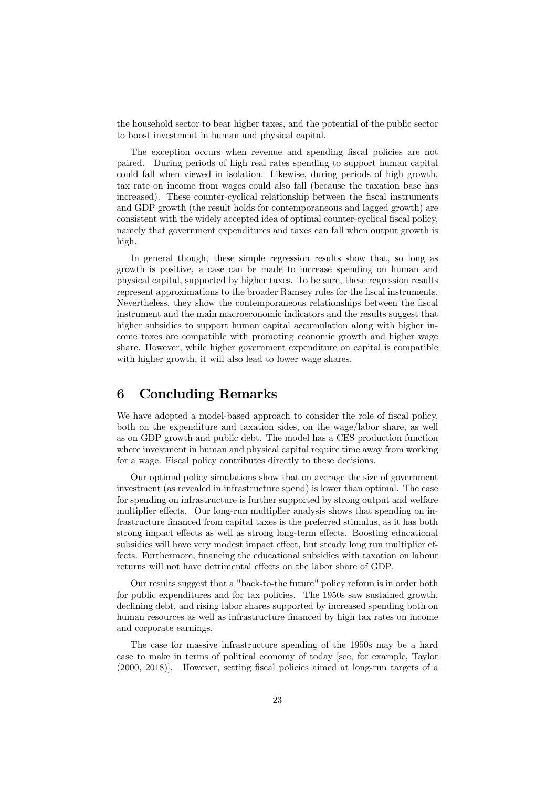the household sector to bear higher taxes, and the potential of the public sector to boost investment in human and physical capital.

The exception occurs when revenue and spending fiscal policies are not paired. During periods of high real rates spending to support human capital could fall when viewed in isolation. Likewise, during periods of high growth, tax rate on income from wages could also fall (because the taxation base has increased). These counter-cyclical relationship between the fiscal instruments and GDP growth (the result holds for contemporaneous and lagged growth) are consistent with the widely accepted idea of optimal counter-cyclical fiscal policy, namely that government expenditures and taxes can fall when output growth is high.

In general though, these simple regression results show that, so long as growth is positive, a case can be made to increase spending on human and physical capital, supported by higher taxes. To be sure, these regression results represent approximations to the broader Ramsey rules for the fiscal instruments. Nevertheless, they show the contemporaneous relationships between the fiscal instrument and the main macroeconomic indicators and the results suggest that higher subsidies to support human capital accumulation along with higher income taxes are compatible with promoting economic growth and higher wage share. However, while higher government expenditure on capital is compatible with higher growth, it will also lead to lower wage shares.

# 6 Concluding Remarks

We have adopted a model-based approach to consider the role of fiscal policy, both on the expenditure and taxation sides, on the wage/labor share, as well as on GDP growth and public debt. The model has a CES production function where investment in human and physical capital require time away from working for a wage. Fiscal policy contributes directly to these decisions.

Our optimal policy simulations show that on average the size of government investment (as revealed in infrastructure spend) is lower than optimal. The case for spending on infrastructure is further supported by strong output and welfare multiplier effects. Our long-run multiplier analysis shows that spending on infrastructure financed from capital taxes is the preferred stimulus, as it has both strong impact effects as well as strong long-term effects. Boosting educational subsidies will have very modest impact effect, but steady long run multiplier effects. Furthermore, financing the educational subsidies with taxation on labour returns will not have detrimental effects on the labor share of GDP.

Our results suggest that a "back-to-the future" policy reform is in order both for public expenditures and for tax policies. The 1950s saw sustained growth, declining debt, and rising labor shares supported by increased spending both on human resources as well as infrastructure financed by high tax rates on income and corporate earnings.

The case for massive infrastructure spending of the 1950s may be a hard case to make in terms of political economy of today [see, for example, Taylor (2000, 2018)]. However, setting fiscal policies aimed at long-run targets of a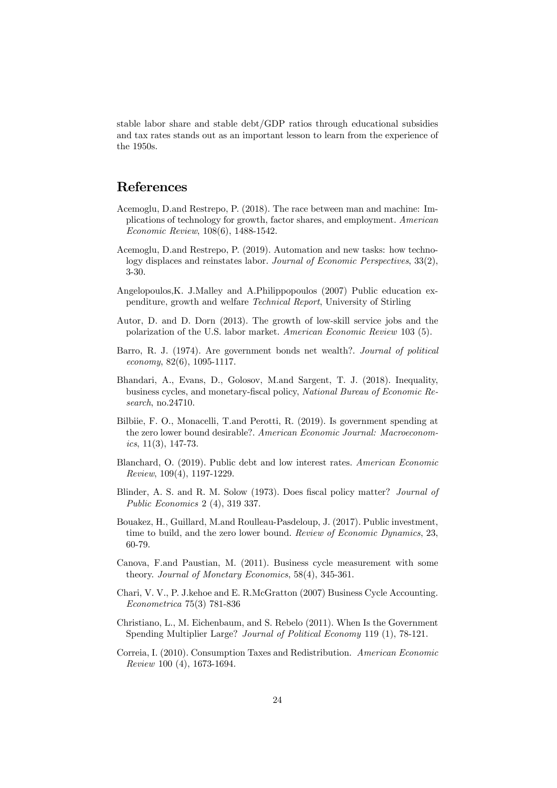stable labor share and stable debt/GDP ratios through educational subsidies and tax rates stands out as an important lesson to learn from the experience of the 1950s.

### References

- Acemoglu, D.and Restrepo, P. (2018). The race between man and machine: Implications of technology for growth, factor shares, and employment. American Economic Review, 108(6), 1488-1542.
- Acemoglu, D.and Restrepo, P. (2019). Automation and new tasks: how technology displaces and reinstates labor. Journal of Economic Perspectives, 33(2), 3-30.
- Angelopoulos,K. J.Malley and A.Philippopoulos (2007) Public education expenditure, growth and welfare Technical Report, University of Stirling
- Autor, D. and D. Dorn (2013). The growth of low-skill service jobs and the polarization of the U.S. labor market. American Economic Review 103 (5).
- Barro, R. J. (1974). Are government bonds net wealth?. Journal of political economy, 82(6), 1095-1117.
- Bhandari, A., Evans, D., Golosov, M.and Sargent, T. J. (2018). Inequality, business cycles, and monetary-fiscal policy, National Bureau of Economic Research, no.24710.
- Bilbiie, F. O., Monacelli, T.and Perotti, R. (2019). Is government spending at the zero lower bound desirable?. American Economic Journal: Macroeconomics,  $11(3)$ , 147-73.
- Blanchard, O. (2019). Public debt and low interest rates. American Economic Review, 109(4), 1197-1229.
- Blinder, A. S. and R. M. Solow (1973). Does fiscal policy matter? Journal of Public Economics 2 (4), 319 337.
- Bouakez, H., Guillard, M.and Roulleau-Pasdeloup, J. (2017). Public investment, time to build, and the zero lower bound. Review of Economic Dynamics, 23, 60-79.
- Canova, F.and Paustian, M. (2011). Business cycle measurement with some theory. Journal of Monetary Economics, 58(4), 345-361.
- Chari, V. V., P. J.kehoe and E. R.McGratton (2007) Business Cycle Accounting. Econometrica 75(3) 781-836
- Christiano, L., M. Eichenbaum, and S. Rebelo (2011). When Is the Government Spending Multiplier Large? Journal of Political Economy 119 (1), 78-121.
- Correia, I. (2010). Consumption Taxes and Redistribution. American Economic Review 100 (4), 1673-1694.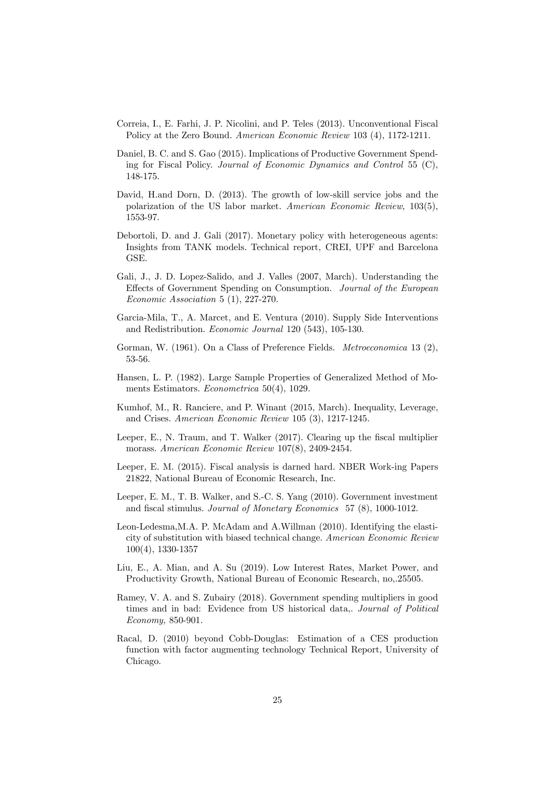- Correia, I., E. Farhi, J. P. Nicolini, and P. Teles (2013). Unconventional Fiscal Policy at the Zero Bound. American Economic Review 103 (4), 1172-1211.
- Daniel, B. C. and S. Gao (2015). Implications of Productive Government Spending for Fiscal Policy. Journal of Economic Dynamics and Control 55 (C), 148-175.
- David, H.and Dorn, D. (2013). The growth of low-skill service jobs and the polarization of the US labor market. American Economic Review, 103(5), 1553-97.
- Debortoli, D. and J. Gali (2017). Monetary policy with heterogeneous agents: Insights from TANK models. Technical report, CREI, UPF and Barcelona GSE.
- Gali, J., J. D. Lopez-Salido, and J. Valles (2007, March). Understanding the Effects of Government Spending on Consumption. Journal of the European Economic Association 5 (1), 227-270.
- Garcia-Mila, T., A. Marcet, and E. Ventura (2010). Supply Side Interventions and Redistribution. Economic Journal 120 (543), 105-130.
- Gorman, W. (1961). On a Class of Preference Fields. Metroeconomica 13 (2), 53-56.
- Hansen, L. P. (1982). Large Sample Properties of Generalized Method of Moments Estimators. Econometrica 50(4), 1029.
- Kumhof, M., R. Ranciere, and P. Winant (2015, March). Inequality, Leverage, and Crises. American Economic Review 105 (3), 1217-1245.
- Leeper, E., N. Traum, and T. Walker (2017). Clearing up the fiscal multiplier morass. American Economic Review 107(8), 2409-2454.
- Leeper, E. M. (2015). Fiscal analysis is darned hard. NBER Work-ing Papers 21822, National Bureau of Economic Research, Inc.
- Leeper, E. M., T. B. Walker, and S.-C. S. Yang (2010). Government investment and fiscal stimulus. Journal of Monetary Economics 57 (8), 1000-1012.
- Leon-Ledesma,M.A. P. McAdam and A.Willman (2010). Identifying the elasticity of substitution with biased technical change. American Economic Review 100(4), 1330-1357
- Liu, E., A. Mian, and A. Su (2019). Low Interest Rates, Market Power, and Productivity Growth, National Bureau of Economic Research, no,.25505.
- Ramey, V. A. and S. Zubairy (2018). Government spending multipliers in good times and in bad: Evidence from US historical data,. Journal of Political Economy, 850-901.
- Racal, D. (2010) beyond Cobb-Douglas: Estimation of a CES production function with factor augmenting technology Technical Report, University of Chicago.